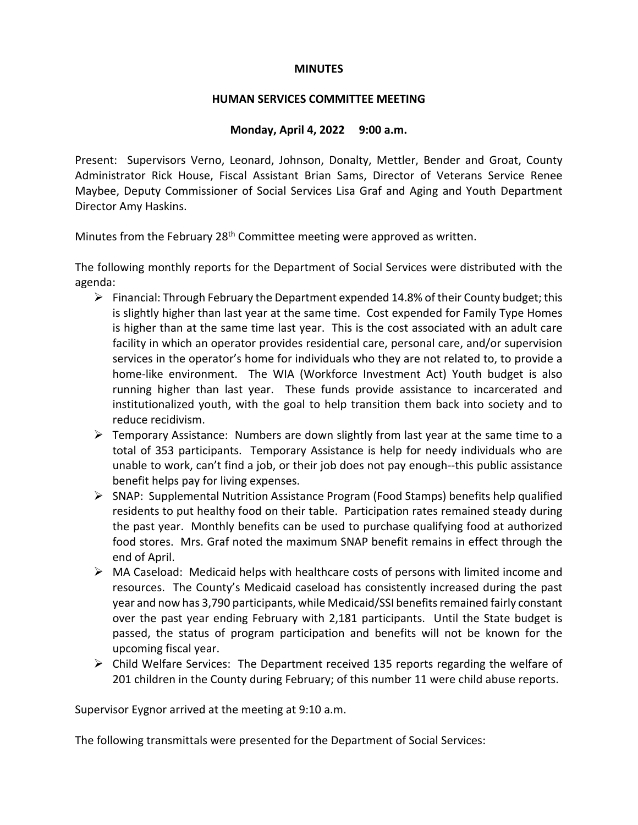### **MINUTES**

### **HUMAN SERVICES COMMITTEE MEETING**

# **Monday, April 4, 2022 9:00 a.m.**

Present: Supervisors Verno, Leonard, Johnson, Donalty, Mettler, Bender and Groat, County Administrator Rick House, Fiscal Assistant Brian Sams, Director of Veterans Service Renee Maybee, Deputy Commissioner of Social Services Lisa Graf and Aging and Youth Department Director Amy Haskins.

Minutes from the February 28<sup>th</sup> Committee meeting were approved as written.

The following monthly reports for the Department of Social Services were distributed with the agenda:

- $\triangleright$  Financial: Through February the Department expended 14.8% of their County budget; this is slightly higher than last year at the same time. Cost expended for Family Type Homes is higher than at the same time last year. This is the cost associated with an adult care facility in which an operator provides residential care, personal care, and/or supervision services in the operator's home for individuals who they are not related to, to provide a home-like environment. The WIA (Workforce Investment Act) Youth budget is also running higher than last year. These funds provide assistance to incarcerated and institutionalized youth, with the goal to help transition them back into society and to reduce recidivism.
- $\triangleright$  Temporary Assistance: Numbers are down slightly from last year at the same time to a total of 353 participants. Temporary Assistance is help for needy individuals who are unable to work, can't find a job, or their job does not pay enough--this public assistance benefit helps pay for living expenses.
- SNAP: Supplemental Nutrition Assistance Program (Food Stamps) benefits help qualified residents to put healthy food on their table. Participation rates remained steady during the past year. Monthly benefits can be used to purchase qualifying food at authorized food stores. Mrs. Graf noted the maximum SNAP benefit remains in effect through the end of April.
- $\triangleright$  MA Caseload: Medicaid helps with healthcare costs of persons with limited income and resources. The County's Medicaid caseload has consistently increased during the past year and now has 3,790 participants, while Medicaid/SSI benefits remained fairly constant over the past year ending February with 2,181 participants. Until the State budget is passed, the status of program participation and benefits will not be known for the upcoming fiscal year.
- Child Welfare Services: The Department received 135 reports regarding the welfare of 201 children in the County during February; of this number 11 were child abuse reports.

Supervisor Eygnor arrived at the meeting at 9:10 a.m.

The following transmittals were presented for the Department of Social Services: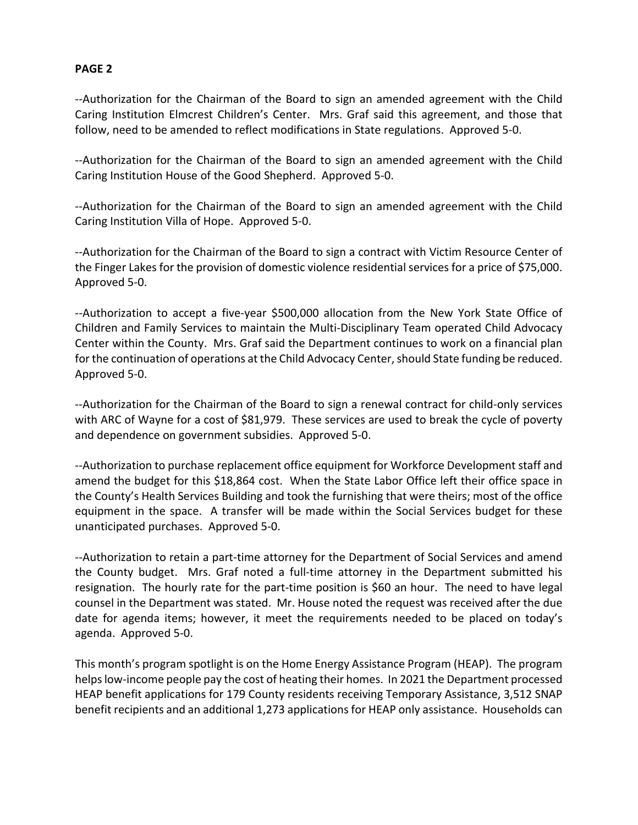--Authorization for the Chairman of the Board to sign an amended agreement with the Child Caring Institution Elmcrest Children's Center. Mrs. Graf said this agreement, and those that follow, need to be amended to reflect modifications in State regulations. Approved 5-0.

--Authorization for the Chairman of the Board to sign an amended agreement with the Child Caring Institution House of the Good Shepherd. Approved 5-0.

--Authorization for the Chairman of the Board to sign an amended agreement with the Child Caring Institution Villa of Hope. Approved 5-0.

--Authorization for the Chairman of the Board to sign a contract with Victim Resource Center of the Finger Lakes for the provision of domestic violence residential services for a price of \$75,000. Approved 5-0.

--Authorization to accept a five-year \$500,000 allocation from the New York State Office of Children and Family Services to maintain the Multi-Disciplinary Team operated Child Advocacy Center within the County. Mrs. Graf said the Department continues to work on a financial plan for the continuation of operations at the Child Advocacy Center, should State funding be reduced. Approved 5-0.

--Authorization for the Chairman of the Board to sign a renewal contract for child-only services with ARC of Wayne for a cost of \$81,979. These services are used to break the cycle of poverty and dependence on government subsidies. Approved 5-0.

--Authorization to purchase replacement office equipment for Workforce Development staff and amend the budget for this \$18,864 cost. When the State Labor Office left their office space in the County's Health Services Building and took the furnishing that were theirs; most of the office equipment in the space. A transfer will be made within the Social Services budget for these unanticipated purchases. Approved 5-0.

--Authorization to retain a part-time attorney for the Department of Social Services and amend the County budget. Mrs. Graf noted a full-time attorney in the Department submitted his resignation. The hourly rate for the part-time position is \$60 an hour. The need to have legal counsel in the Department was stated. Mr. House noted the request was received after the due date for agenda items; however, it meet the requirements needed to be placed on today's agenda. Approved 5-0.

This month's program spotlight is on the Home Energy Assistance Program (HEAP). The program helps low-income people pay the cost of heating their homes. In 2021 the Department processed HEAP benefit applications for 179 County residents receiving Temporary Assistance, 3,512 SNAP benefit recipients and an additional 1,273 applications for HEAP only assistance. Households can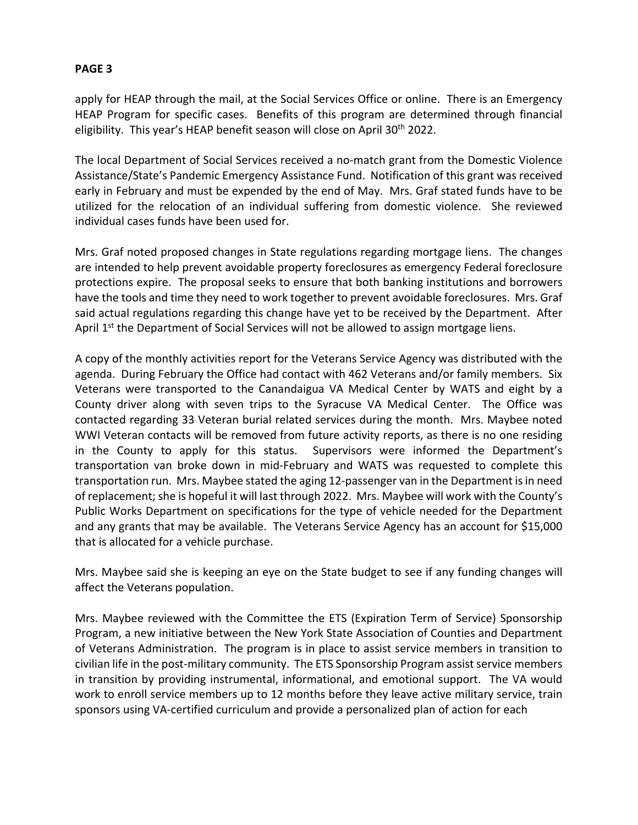apply for HEAP through the mail, at the Social Services Office or online. There is an Emergency HEAP Program for specific cases. Benefits of this program are determined through financial eligibility. This year's HEAP benefit season will close on April 30<sup>th</sup> 2022.

The local Department of Social Services received a no-match grant from the Domestic Violence Assistance/State's Pandemic Emergency Assistance Fund. Notification of this grant was received early in February and must be expended by the end of May. Mrs. Graf stated funds have to be utilized for the relocation of an individual suffering from domestic violence. She reviewed individual cases funds have been used for.

Mrs. Graf noted proposed changes in State regulations regarding mortgage liens. The changes are intended to help prevent avoidable property foreclosures as emergency Federal foreclosure protections expire. The proposal seeks to ensure that both banking institutions and borrowers have the tools and time they need to work together to prevent avoidable foreclosures. Mrs. Graf said actual regulations regarding this change have yet to be received by the Department. After April 1<sup>st</sup> the Department of Social Services will not be allowed to assign mortgage liens.

A copy of the monthly activities report for the Veterans Service Agency was distributed with the agenda. During February the Office had contact with 462 Veterans and/or family members. Six Veterans were transported to the Canandaigua VA Medical Center by WATS and eight by a County driver along with seven trips to the Syracuse VA Medical Center. The Office was contacted regarding 33 Veteran burial related services during the month. Mrs. Maybee noted WWI Veteran contacts will be removed from future activity reports, as there is no one residing in the County to apply for this status. Supervisors were informed the Department's transportation van broke down in mid-February and WATS was requested to complete this transportation run. Mrs. Maybee stated the aging 12-passenger van in the Department is in need of replacement; she is hopeful it will last through 2022. Mrs. Maybee will work with the County's Public Works Department on specifications for the type of vehicle needed for the Department and any grants that may be available. The Veterans Service Agency has an account for \$15,000 that is allocated for a vehicle purchase.

Mrs. Maybee said she is keeping an eye on the State budget to see if any funding changes will affect the Veterans population.

Mrs. Maybee reviewed with the Committee the ETS (Expiration Term of Service) Sponsorship Program, a new initiative between the New York State Association of Counties and Department of Veterans Administration. The program is in place to assist service members in transition to civilian life in the post-military community. The ETS Sponsorship Program assist service members in transition by providing instrumental, informational, and emotional support. The VA would work to enroll service members up to 12 months before they leave active military service, train sponsors using VA-certified curriculum and provide a personalized plan of action for each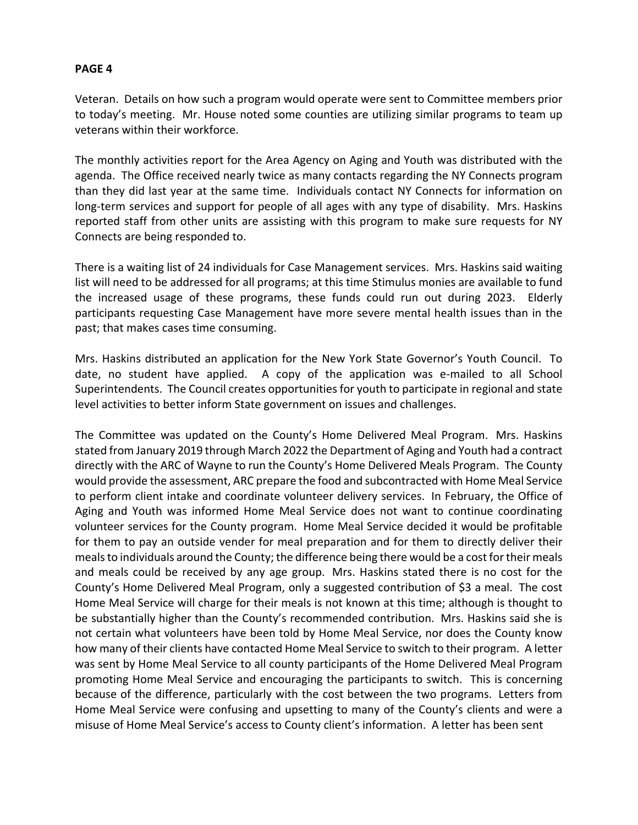Veteran. Details on how such a program would operate were sent to Committee members prior to today's meeting. Mr. House noted some counties are utilizing similar programs to team up veterans within their workforce.

The monthly activities report for the Area Agency on Aging and Youth was distributed with the agenda. The Office received nearly twice as many contacts regarding the NY Connects program than they did last year at the same time. Individuals contact NY Connects for information on long-term services and support for people of all ages with any type of disability. Mrs. Haskins reported staff from other units are assisting with this program to make sure requests for NY Connects are being responded to.

There is a waiting list of 24 individuals for Case Management services. Mrs. Haskins said waiting list will need to be addressed for all programs; at this time Stimulus monies are available to fund the increased usage of these programs, these funds could run out during 2023. Elderly participants requesting Case Management have more severe mental health issues than in the past; that makes cases time consuming.

Mrs. Haskins distributed an application for the New York State Governor's Youth Council. To date, no student have applied. A copy of the application was e-mailed to all School Superintendents. The Council creates opportunities for youth to participate in regional and state level activities to better inform State government on issues and challenges.

The Committee was updated on the County's Home Delivered Meal Program. Mrs. Haskins stated from January 2019 through March 2022 the Department of Aging and Youth had a contract directly with the ARC of Wayne to run the County's Home Delivered Meals Program. The County would provide the assessment, ARC prepare the food and subcontracted with Home Meal Service to perform client intake and coordinate volunteer delivery services. In February, the Office of Aging and Youth was informed Home Meal Service does not want to continue coordinating volunteer services for the County program. Home Meal Service decided it would be profitable for them to pay an outside vender for meal preparation and for them to directly deliver their meals to individuals around the County; the difference being there would be a cost for their meals and meals could be received by any age group. Mrs. Haskins stated there is no cost for the County's Home Delivered Meal Program, only a suggested contribution of \$3 a meal. The cost Home Meal Service will charge for their meals is not known at this time; although is thought to be substantially higher than the County's recommended contribution. Mrs. Haskins said she is not certain what volunteers have been told by Home Meal Service, nor does the County know how many of their clients have contacted Home Meal Service to switch to their program. A letter was sent by Home Meal Service to all county participants of the Home Delivered Meal Program promoting Home Meal Service and encouraging the participants to switch. This is concerning because of the difference, particularly with the cost between the two programs. Letters from Home Meal Service were confusing and upsetting to many of the County's clients and were a misuse of Home Meal Service's access to County client's information. A letter has been sent